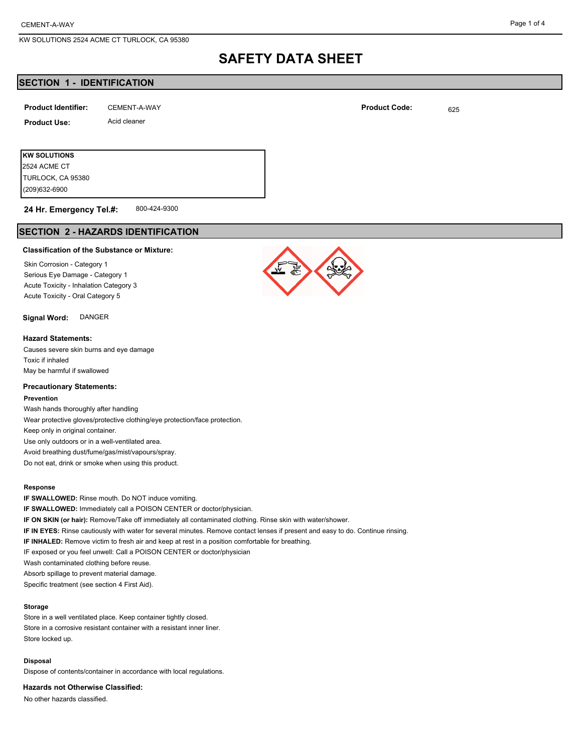## **SAFETY DATA SHEET**

## **SECTION 1 - IDENTIFICATION**

| <b>Product Identifier:</b> | CEMENT-A-WAY | <b>Product Code:</b> | 625 |
|----------------------------|--------------|----------------------|-----|
| <b>Product Use:</b>        | Acid cleaner |                      |     |
|                            |              |                      |     |

**KW SOLUTIONS** (209)632-6900 TURLOCK, CA 95380 2524 ACME CT

#### 800-424-9300 **24 Hr. Emergency Tel.#:**

## **SECTION 2 - HAZARDS IDENTIFICATION**

#### **Classification of the Substance or Mixture:**

Skin Corrosion - Category 1 Serious Eye Damage - Category 1 Acute Toxicity - Inhalation Category 3 Acute Toxicity - Oral Category 5

### **Signal Word:** DANGER

#### **Hazard Statements:**

Causes severe skin burns and eye damage Toxic if inhaled May be harmful if swallowed

#### **Precautionary Statements:**

#### **Prevention**

Wash hands thoroughly after handling Wear protective gloves/protective clothing/eye protection/face protection. Keep only in original container. Use only outdoors or in a well-ventilated area. Avoid breathing dust/fume/gas/mist/vapours/spray. Do not eat, drink or smoke when using this product.

#### **Response**

**IF SWALLOWED:** Rinse mouth. Do NOT induce vomiting. **IF SWALLOWED:** Immediately call a POISON CENTER or doctor/physician. **IF ON SKIN (or hair):** Remove/Take off immediately all contaminated clothing. Rinse skin with water/shower. **IF IN EYES:** Rinse cautiously with water for several minutes. Remove contact lenses if present and easy to do. Continue rinsing. **IF INHALED:** Remove victim to fresh air and keep at rest in a position comfortable for breathing. IF exposed or you feel unwell: Call a POISON CENTER or doctor/physician Wash contaminated clothing before reuse. Absorb spillage to prevent material damage. Specific treatment (see section 4 First Aid).

#### **Storage**

Store in a well ventilated place. Keep container tightly closed. Store in a corrosive resistant container with a resistant inner liner. Store locked up.

#### **Disposal**

Dispose of contents/container in accordance with local regulations.

**Hazards not Otherwise Classified:**

No other hazards classified.

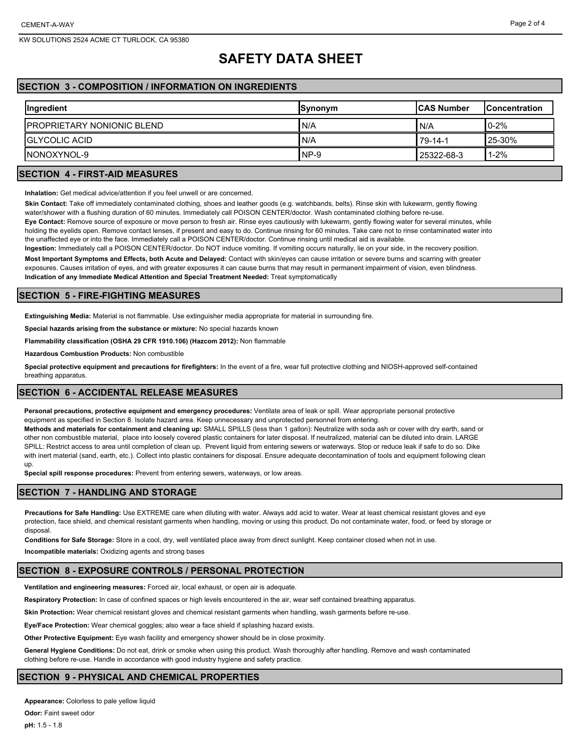## **SAFETY DATA SHEET**

## **SECTION 3 - COMPOSITION / INFORMATION ON INGREDIENTS**

| <b>Ingredient</b>                  | Synonym | <b>ICAS Number</b> | <b>IConcentration</b> |
|------------------------------------|---------|--------------------|-----------------------|
| <b>IPROPRIETARY NONIONIC BLEND</b> | I N/A   | I N/A              | $10-2%$               |
| <b>IGLYCOLIC ACID</b>              | I N/A   | 79-14-1            | 25-30%                |
| INONOXYNOL-9                       | INP-9   | 25322-68-3         | $1 - 2%$              |

## **SECTION 4 - FIRST-AID MEASURES**

**Inhalation:** Get medical advice/attention if you feel unwell or are concerned.

**Skin Contact:** Take off immediately contaminated clothing, shoes and leather goods (e.g. watchbands, belts). Rinse skin with lukewarm, gently flowing water/shower with a flushing duration of 60 minutes. Immediately call POISON CENTER/doctor. Wash contaminated clothing before re-use.

**Eye Contact:** Remove source of exposure or move person to fresh air. Rinse eyes cautiously with lukewarm, gently flowing water for several minutes, while holding the eyelids open. Remove contact lenses, if present and easy to do. Continue rinsing for 60 minutes. Take care not to rinse contaminated water into the unaffected eye or into the face. Immediately call a POISON CENTER/doctor. Continue rinsing until medical aid is available.

**Ingestion:** Immediately call a POISON CENTER/doctor. Do NOT induce vomiting. If vomiting occurs naturally, lie on your side, in the recovery position. **Most Important Symptoms and Effects, both Acute and Delayed:** Contact with skin/eyes can cause irritation or severe burns and scarring with greater exposures. Causes irritation of eyes, and with greater exposures it can cause burns that may result in permanent impairment of vision, even blindness. **Indication of any Immediate Medical Attention and Special Treatment Needed:** Treat symptomatically

## **SECTION 5 - FIRE-FIGHTING MEASURES**

**Extinguishing Media:** Material is not flammable. Use extinguisher media appropriate for material in surrounding fire.

**Special hazards arising from the substance or mixture:** No special hazards known

**Flammability classification (OSHA 29 CFR 1910.106) (Hazcom 2012):** Non flammable

**Hazardous Combustion Products:** Non combustible

**Special protective equipment and precautions for firefighters:** In the event of a fire, wear full protective clothing and NIOSH-approved self-contained breathing apparatus.

### **SECTION 6 - ACCIDENTAL RELEASE MEASURES**

**Personal precautions, protective equipment and emergency procedures:** Ventilate area of leak or spill. Wear appropriate personal protective equipment as specified in Section 8. Isolate hazard area. Keep unnecessary and unprotected personnel from entering.

**Methods and materials for containment and cleaning up:** SMALL SPILLS (less than 1 gallon): Neutralize with soda ash or cover with dry earth, sand or other non combustible material, place into loosely covered plastic containers for later disposal. If neutralized, material can be diluted into drain. LARGE SPILL: Restrict access to area until completion of clean up. Prevent liquid from entering sewers or waterways. Stop or reduce leak if safe to do so. Dike with inert material (sand, earth, etc.). Collect into plastic containers for disposal. Ensure adequate decontamination of tools and equipment following clean up.

**Special spill response procedures:** Prevent from entering sewers, waterways, or low areas.

### **SECTION 7 - HANDLING AND STORAGE**

**Precautions for Safe Handling:** Use EXTREME care when diluting with water. Always add acid to water. Wear at least chemical resistant gloves and eye protection, face shield, and chemical resistant garments when handling, moving or using this product. Do not contaminate water, food, or feed by storage or disposal.

**Conditions for Safe Storage:** Store in a cool, dry, well ventilated place away from direct sunlight. Keep container closed when not in use.

**Incompatible materials:** Oxidizing agents and strong bases

#### **SECTION 8 - EXPOSURE CONTROLS / PERSONAL PROTECTION**

**Ventilation and engineering measures:** Forced air, local exhaust, or open air is adequate.

**Respiratory Protection:** In case of confined spaces or high levels encountered in the air, wear self contained breathing apparatus.

**Skin Protection:** Wear chemical resistant gloves and chemical resistant garments when handling, wash garments before re-use.

**Eye/Face Protection:** Wear chemical goggles; also wear a face shield if splashing hazard exists.

**Other Protective Equipment:** Eye wash facility and emergency shower should be in close proximity.

**General Hygiene Conditions:** Do not eat, drink or smoke when using this product. Wash thoroughly after handling. Remove and wash contaminated clothing before re-use. Handle in accordance with good industry hygiene and safety practice.

### **SECTION 9 - PHYSICAL AND CHEMICAL PROPERTIES**

**Appearance:** Colorless to pale yellow liquid **Odor:** Faint sweet odor

**pH:** 1.5 - 1.8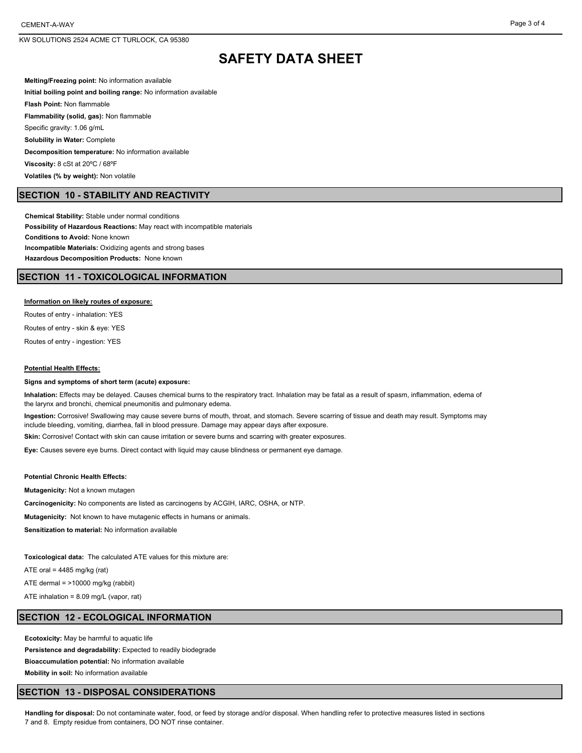## **SAFETY DATA SHEET**

**Melting/Freezing point:** No information available **Initial boiling point and boiling range:** No information available **Flash Point:** Non flammable **Flammability (solid, gas):** Non flammable Specific gravity: 1.06 g/mL **Solubility in Water:** Complete **Decomposition temperature:** No information available **Viscosity:** 8 cSt at 20ºC / 68ºF **Volatiles (% by weight):** Non volatile

#### **SECTION 10 - STABILITY AND REACTIVITY**

**Chemical Stability:** Stable under normal conditions **Possibility of Hazardous Reactions:** May react with incompatible materials **Conditions to Avoid:** None known **Incompatible Materials:** Oxidizing agents and strong bases **Hazardous Decomposition Products:** None known

### **SECTION 11 - TOXICOLOGICAL INFORMATION**

#### **Information on likely routes of exposure:**

Routes of entry - inhalation: YES

Routes of entry - skin & eye: YES

Routes of entry - ingestion: YES

#### **Potential Health Effects:**

#### **Signs and symptoms of short term (acute) exposure:**

**Inhalation:** Effects may be delayed. Causes chemical burns to the respiratory tract. Inhalation may be fatal as a result of spasm, inflammation, edema of the larynx and bronchi, chemical pneumonitis and pulmonary edema.

**Ingestion:** Corrosive! Swallowing may cause severe burns of mouth, throat, and stomach. Severe scarring of tissue and death may result. Symptoms may include bleeding, vomiting, diarrhea, fall in blood pressure. Damage may appear days after exposure.

**Skin:** Corrosive! Contact with skin can cause irritation or severe burns and scarring with greater exposures.

**Eye:** Causes severe eye burns. Direct contact with liquid may cause blindness or permanent eye damage.

#### **Potential Chronic Health Effects:**

**Mutagenicity:** Not a known mutagen

**Carcinogenicity:** No components are listed as carcinogens by ACGIH, IARC, OSHA, or NTP.

**Mutagenicity:** Not known to have mutagenic effects in humans or animals.

**Sensitization to material:** No information available

**Toxicological data:** The calculated ATE values for this mixture are:

ATE oral =  $4485$  mg/kg (rat)

ATE dermal = >10000 mg/kg (rabbit)

ATE inhalation = 8.09 mg/L (vapor, rat)

### **SECTION 12 - ECOLOGICAL INFORMATION**

**Ecotoxicity:** May be harmful to aquatic life **Persistence and degradability:** Expected to readily biodegrade **Bioaccumulation potential:** No information available **Mobility in soil:** No information available

#### **SECTION 13 - DISPOSAL CONSIDERATIONS**

**Handling for disposal:** Do not contaminate water, food, or feed by storage and/or disposal. When handling refer to protective measures listed in sections 7 and 8. Empty residue from containers, DO NOT rinse container.